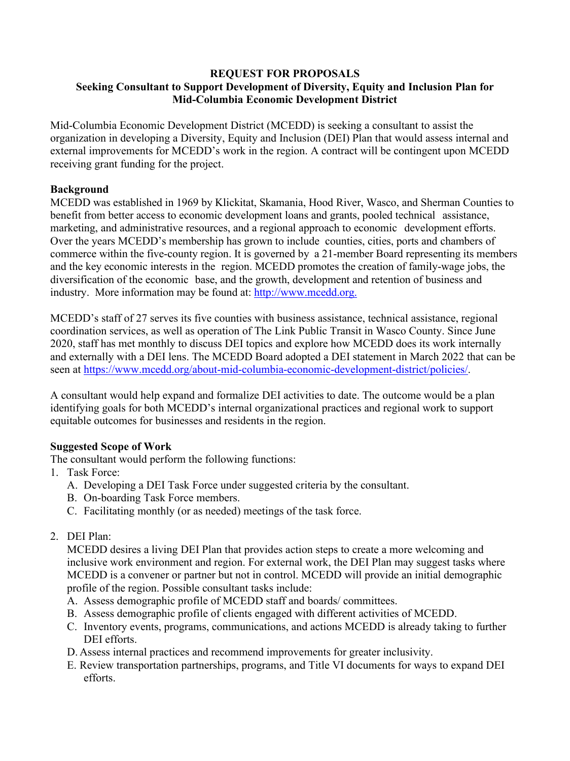#### **REQUEST FOR PROPOSALS Seeking Consultant to Support Development of Diversity, Equity and Inclusion Plan for Mid-Columbia Economic Development District**

Mid-Columbia Economic Development District (MCEDD) is seeking a consultant to assist the organization in developing a Diversity, Equity and Inclusion (DEI) Plan that would assess internal and external improvements for MCEDD's work in the region. A contract will be contingent upon MCEDD receiving grant funding for the project.

# **Background**

MCEDD was established in 1969 by Klickitat, Skamania, Hood River, Wasco, and Sherman Counties to benefit from better access to economic development loans and grants, pooled technical assistance, marketing, and administrative resources, and a regional approach to economic development efforts. Over the years MCEDD's membership has grown to include counties, cities, ports and chambers of commerce within the five-county region. It is governed by a 21-member Board representing its members and the key economic interests in the region. MCEDD promotes the creation of family-wage jobs, the diversification of the economic base, and the growth, development and retention of business and industry. More information may be found at: [http://www.mcedd.org.](http://www.mcedd.org/)

MCEDD's staff of 27 serves its five counties with business assistance, technical assistance, regional coordination services, as well as operation of The Link Public Transit in Wasco County. Since June 2020, staff has met monthly to discuss DEI topics and explore how MCEDD does its work internally and externally with a DEI lens. The MCEDD Board adopted a DEI statement in March 2022 that can be seen at [https://www.mcedd.org/about-mid-columbia-economic-development-district/policies/.](https://www.mcedd.org/about-mid-columbia-economic-development-district/policies/)

A consultant would help expand and formalize DEI activities to date. The outcome would be a plan identifying goals for both MCEDD's internal organizational practices and regional work to support equitable outcomes for businesses and residents in the region.

# **Suggested Scope of Work**

The consultant would perform the following functions:

- 1. Task Force:
	- A. Developing a DEI Task Force under suggested criteria by the consultant.
	- B. On-boarding Task Force members.
	- C. Facilitating monthly (or as needed) meetings of the task force.
- 2. DEI Plan:

MCEDD desires a living DEI Plan that provides action steps to create a more welcoming and inclusive work environment and region. For external work, the DEI Plan may suggest tasks where MCEDD is a convener or partner but not in control. MCEDD will provide an initial demographic profile of the region. Possible consultant tasks include:

- A. Assess demographic profile of MCEDD staff and boards/ committees.
- B. Assess demographic profile of clients engaged with different activities of MCEDD.
- C. Inventory events, programs, communications, and actions MCEDD is already taking to further DEI efforts.
- D. Assess internal practices and recommend improvements for greater inclusivity.
- E. Review transportation partnerships, programs, and Title VI documents for ways to expand DEI efforts.